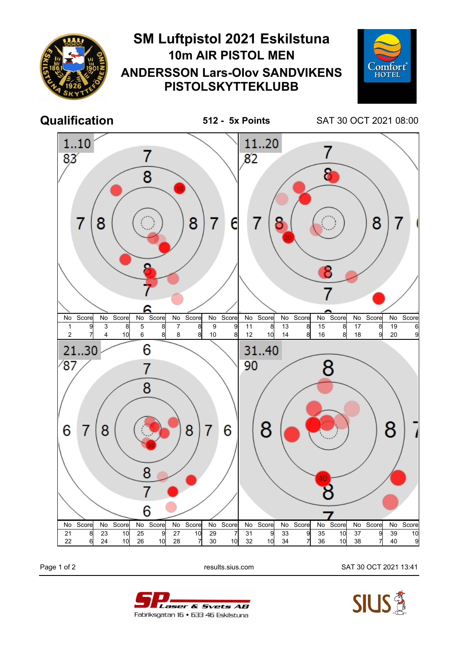

Page 1 of 2 results.sius.com SAT 30 OCT 2021 13:41